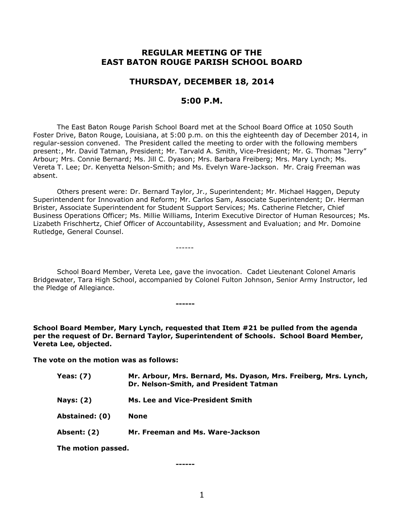# **REGULAR MEETING OF THE EAST BATON ROUGE PARISH SCHOOL BOARD**

# **THURSDAY, DECEMBER 18, 2014**

# **5:00 P.M.**

The East Baton Rouge Parish School Board met at the School Board Office at 1050 South Foster Drive, Baton Rouge, Louisiana, at 5:00 p.m. on this the eighteenth day of December 2014, in regular-session convened. The President called the meeting to order with the following members present:, Mr. David Tatman, President; Mr. Tarvald A. Smith, Vice-President; Mr. G. Thomas "Jerry" Arbour; Mrs. Connie Bernard; Ms. Jill C. Dyason; Mrs. Barbara Freiberg; Mrs. Mary Lynch; Ms. Vereta T. Lee; Dr. Kenyetta Nelson-Smith; and Ms. Evelyn Ware-Jackson. Mr. Craig Freeman was absent.

Others present were: Dr. Bernard Taylor, Jr., Superintendent; Mr. Michael Haggen, Deputy Superintendent for Innovation and Reform; Mr. Carlos Sam, Associate Superintendent; Dr. Herman Brister, Associate Superintendent for Student Support Services; Ms. Catherine Fletcher, Chief Business Operations Officer; Ms. Millie Williams, Interim Executive Director of Human Resources; Ms. Lizabeth Frischhertz, Chief Officer of Accountability, Assessment and Evaluation; and Mr. Domoine Rutledge, General Counsel.

School Board Member, Vereta Lee, gave the invocation. Cadet Lieutenant Colonel Amaris Bridgewater, Tara High School, accompanied by Colonel Fulton Johnson, Senior Army Instructor, led the Pledge of Allegiance.

------

**------**

**School Board Member, Mary Lynch, requested that Item #21 be pulled from the agenda per the request of Dr. Bernard Taylor, Superintendent of Schools. School Board Member, Vereta Lee, objected.** 

**The vote on the motion was as follows:**

| Mr. Arbour, Mrs. Bernard, Ms. Dyason, Mrs. Freiberg, Mrs. Lynch,<br>Dr. Nelson-Smith, and President Tatman |
|------------------------------------------------------------------------------------------------------------|
| Ms. Lee and Vice-President Smith                                                                           |
| <b>None</b>                                                                                                |
| Mr. Freeman and Ms. Ware-Jackson                                                                           |
|                                                                                                            |

**The motion passed.**

**------**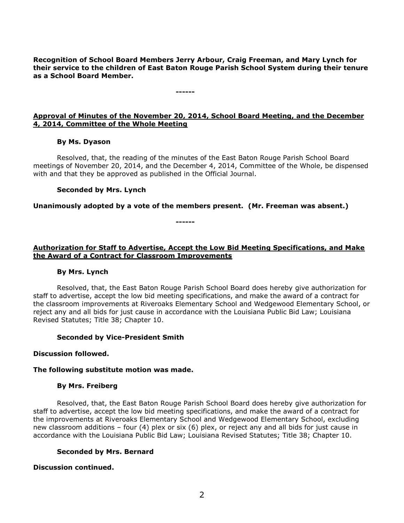**Recognition of School Board Members Jerry Arbour, Craig Freeman, and Mary Lynch for their service to the children of East Baton Rouge Parish School System during their tenure as a School Board Member.**

# **Approval of Minutes of the November 20, 2014, School Board Meeting, and the December 4, 2014, Committee of the Whole Meeting**

**------**

### **By Ms. Dyason**

Resolved, that, the reading of the minutes of the East Baton Rouge Parish School Board meetings of November 20, 2014, and the December 4, 2014, Committee of the Whole, be dispensed with and that they be approved as published in the Official Journal.

#### **Seconded by Mrs. Lynch**

**Unanimously adopted by a vote of the members present. (Mr. Freeman was absent.)**

**------**

**Authorization for Staff to Advertise, Accept the Low Bid Meeting Specifications, and Make the Award of a Contract for Classroom Improvements**

#### **By Mrs. Lynch**

Resolved, that, the East Baton Rouge Parish School Board does hereby give authorization for staff to advertise, accept the low bid meeting specifications, and make the award of a contract for the classroom improvements at Riveroaks Elementary School and Wedgewood Elementary School, or reject any and all bids for just cause in accordance with the Louisiana Public Bid Law; Louisiana Revised Statutes; Title 38; Chapter 10.

#### **Seconded by Vice-President Smith**

#### **Discussion followed.**

#### **The following substitute motion was made.**

#### **By Mrs. Freiberg**

Resolved, that, the East Baton Rouge Parish School Board does hereby give authorization for staff to advertise, accept the low bid meeting specifications, and make the award of a contract for the improvements at Riveroaks Elementary School and Wedgewood Elementary School, excluding new classroom additions – four (4) plex or six (6) plex, or reject any and all bids for just cause in accordance with the Louisiana Public Bid Law; Louisiana Revised Statutes; Title 38; Chapter 10.

### **Seconded by Mrs. Bernard**

### **Discussion continued.**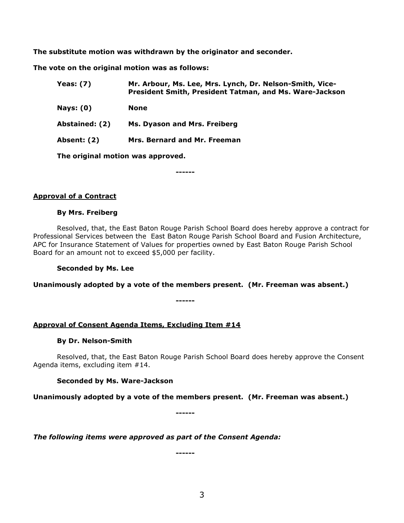**The substitute motion was withdrawn by the originator and seconder.**

**The vote on the original motion was as follows:**

| <b>Yeas: (7)</b> | Mr. Arbour, Ms. Lee, Mrs. Lynch, Dr. Nelson-Smith, Vice-<br>President Smith, President Tatman, and Ms. Ware-Jackson |
|------------------|---------------------------------------------------------------------------------------------------------------------|
| <b>Nays: (0)</b> | None                                                                                                                |
| Abstained: (2)   | Ms. Dyason and Mrs. Freiberg                                                                                        |
| Absent: (2)      | Mrs. Bernard and Mr. Freeman                                                                                        |
|                  | The original motion was approved.                                                                                   |

**------**

### **Approval of a Contract**

#### **By Mrs. Freiberg**

Resolved, that, the East Baton Rouge Parish School Board does hereby approve a contract for Professional Services between the East Baton Rouge Parish School Board and Fusion Architecture, APC for Insurance Statement of Values for properties owned by East Baton Rouge Parish School Board for an amount not to exceed \$5,000 per facility.

### **Seconded by Ms. Lee**

**Unanimously adopted by a vote of the members present. (Mr. Freeman was absent.)**

**------**

### **Approval of Consent Agenda Items, Excluding Item #14**

### **By Dr. Nelson-Smith**

Resolved, that, the East Baton Rouge Parish School Board does hereby approve the Consent Agenda items, excluding item #14.

### **Seconded by Ms. Ware-Jackson**

**Unanimously adopted by a vote of the members present. (Mr. Freeman was absent.)**

**------**

*The following items were approved as part of the Consent Agenda:*

**------**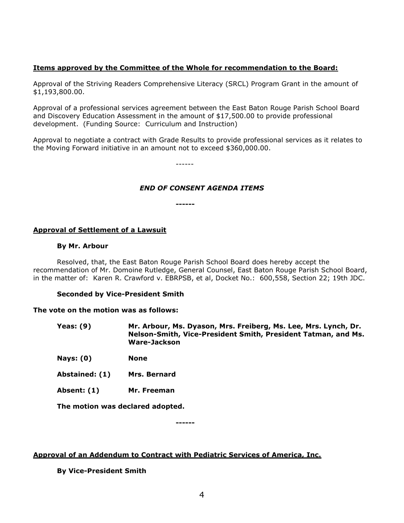# **Items approved by the Committee of the Whole for recommendation to the Board:**

Approval of the Striving Readers Comprehensive Literacy (SRCL) Program Grant in the amount of \$1,193,800.00.

Approval of a professional services agreement between the East Baton Rouge Parish School Board and Discovery Education Assessment in the amount of \$17,500.00 to provide professional development. (Funding Source: Curriculum and Instruction)

Approval to negotiate a contract with Grade Results to provide professional services as it relates to the Moving Forward initiative in an amount not to exceed \$360,000.00.

------

# *END OF CONSENT AGENDA ITEMS*

**------**

### **Approval of Settlement of a Lawsuit**

#### **By Mr. Arbour**

Resolved, that, the East Baton Rouge Parish School Board does hereby accept the recommendation of Mr. Domoine Rutledge, General Counsel, East Baton Rouge Parish School Board, in the matter of: Karen R. Crawford v. EBRPSB, et al, Docket No.: 600,558, Section 22; 19th JDC.

### **Seconded by Vice-President Smith**

#### **The vote on the motion was as follows:**

| Yeas: (9) | Mr. Arbour, Ms. Dyason, Mrs. Freiberg, Ms. Lee, Mrs. Lynch, Dr. |
|-----------|-----------------------------------------------------------------|
|           | Nelson-Smith, Vice-President Smith, President Tatman, and Ms.   |
|           | Ware-Jackson                                                    |

**Nays: (0) None**

- **Abstained: (1) Mrs. Bernard**
- **Absent: (1) Mr. Freeman**

**The motion was declared adopted.**

**------**

### **Approval of an Addendum to Contract with Pediatric Services of America, Inc.**

**By Vice-President Smith**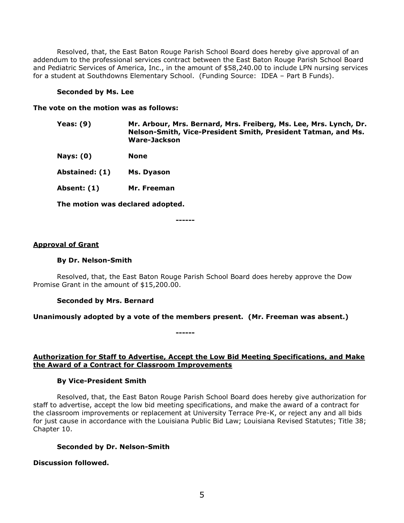Resolved, that, the East Baton Rouge Parish School Board does hereby give approval of an addendum to the professional services contract between the East Baton Rouge Parish School Board and Pediatric Services of America, Inc., in the amount of \$58,240.00 to include LPN nursing services for a student at Southdowns Elementary School. (Funding Source: IDEA – Part B Funds).

#### **Seconded by Ms. Lee**

#### **The vote on the motion was as follows:**

- **Yeas: (9) Mr. Arbour, Mrs. Bernard, Mrs. Freiberg, Ms. Lee, Mrs. Lynch, Dr. Nelson-Smith, Vice-President Smith, President Tatman, and Ms. Ware-Jackson**
- **Nays: (0) None**

**Abstained: (1) Ms. Dyason**

**Absent: (1) Mr. Freeman**

**The motion was declared adopted.**

**------**

#### **Approval of Grant**

#### **By Dr. Nelson-Smith**

Resolved, that, the East Baton Rouge Parish School Board does hereby approve the Dow Promise Grant in the amount of \$15,200.00.

### **Seconded by Mrs. Bernard**

### **Unanimously adopted by a vote of the members present. (Mr. Freeman was absent.)**

**------**

# **Authorization for Staff to Advertise, Accept the Low Bid Meeting Specifications, and Make the Award of a Contract for Classroom Improvements**

### **By Vice-President Smith**

Resolved, that, the East Baton Rouge Parish School Board does hereby give authorization for staff to advertise, accept the low bid meeting specifications, and make the award of a contract for the classroom improvements or replacement at University Terrace Pre-K, or reject any and all bids for just cause in accordance with the Louisiana Public Bid Law; Louisiana Revised Statutes; Title 38; Chapter 10.

## **Seconded by Dr. Nelson-Smith**

**Discussion followed.**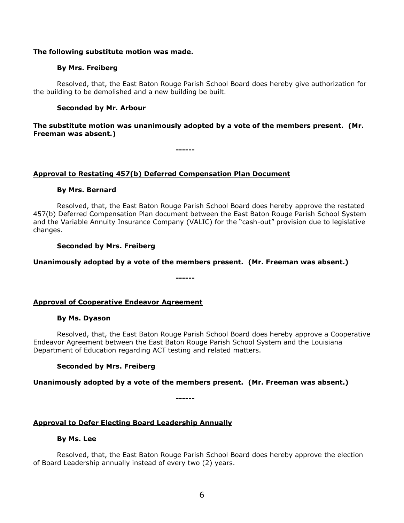#### **The following substitute motion was made.**

### **By Mrs. Freiberg**

Resolved, that, the East Baton Rouge Parish School Board does hereby give authorization for the building to be demolished and a new building be built.

### **Seconded by Mr. Arbour**

**The substitute motion was unanimously adopted by a vote of the members present. (Mr. Freeman was absent.)**

**------**

#### **Approval to Restating 457(b) Deferred Compensation Plan Document**

#### **By Mrs. Bernard**

Resolved, that, the East Baton Rouge Parish School Board does hereby approve the restated 457(b) Deferred Compensation Plan document between the East Baton Rouge Parish School System and the Variable Annuity Insurance Company (VALIC) for the "cash-out" provision due to legislative changes.

#### **Seconded by Mrs. Freiberg**

### **Unanimously adopted by a vote of the members present. (Mr. Freeman was absent.)**

**------**

**Approval of Cooperative Endeavor Agreement**

#### **By Ms. Dyason**

Resolved, that, the East Baton Rouge Parish School Board does hereby approve a Cooperative Endeavor Agreement between the East Baton Rouge Parish School System and the Louisiana Department of Education regarding ACT testing and related matters.

### **Seconded by Mrs. Freiberg**

#### **Unanimously adopted by a vote of the members present. (Mr. Freeman was absent.)**

**------**

## **Approval to Defer Electing Board Leadership Annually**

#### **By Ms. Lee**

Resolved, that, the East Baton Rouge Parish School Board does hereby approve the election of Board Leadership annually instead of every two (2) years.